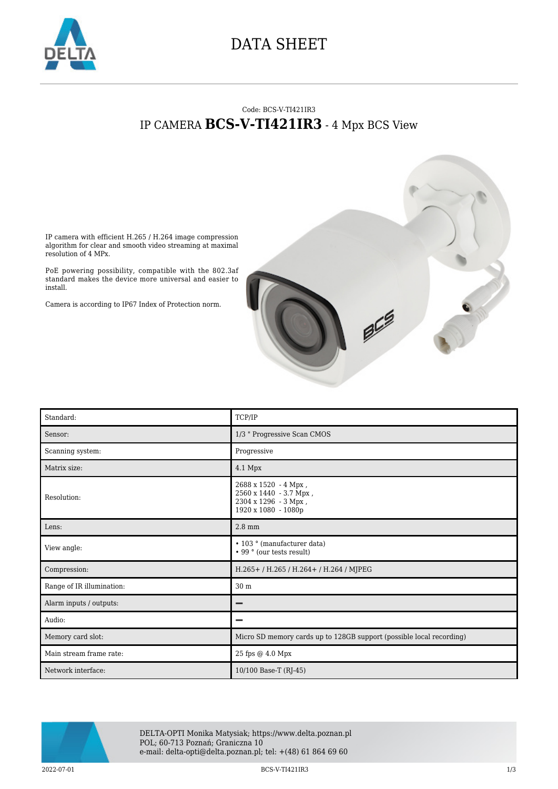

## DATA SHEET

## Code: BCS-V-TI421IR3 IP CAMERA **BCS-V-TI421IR3** - 4 Mpx BCS View

IP camera with efficient H.265 / H.264 image compression algorithm for clear and smooth video streaming at maximal resolution of 4 MPx.

PoE powering possibility, compatible with the 802.3af standard makes the device more universal and easier to install.

Camera is according to IP67 Index of Protection norm.



| Standard:                 | TCP/IP                                                                                        |
|---------------------------|-----------------------------------------------------------------------------------------------|
| Sensor:                   | 1/3 " Progressive Scan CMOS                                                                   |
| Scanning system:          | Progressive                                                                                   |
| Matrix size:              | 4.1 Mpx                                                                                       |
| Resolution:               | 2688 x 1520 - 4 Mpx,<br>2560 x 1440 - 3.7 Mpx,<br>2304 х 1296 - 3 Мрх,<br>1920 x 1080 - 1080p |
| Lens:                     | $2.8$ mm                                                                                      |
| View angle:               | • 103 ° (manufacturer data)<br>• 99 ° (our tests result)                                      |
| Compression:              | H.265+ / H.265 / H.264+ / H.264 / MJPEG                                                       |
| Range of IR illumination: | 30 m                                                                                          |
| Alarm inputs / outputs:   | -                                                                                             |
| Audio:                    | -                                                                                             |
| Memory card slot:         | Micro SD memory cards up to 128GB support (possible local recording)                          |
| Main stream frame rate:   | 25 fps @ 4.0 Mpx                                                                              |
| Network interface:        | 10/100 Base-T (RJ-45)                                                                         |



DELTA-OPTI Monika Matysiak; https://www.delta.poznan.pl POL; 60-713 Poznań; Graniczna 10 e-mail: delta-opti@delta.poznan.pl; tel: +(48) 61 864 69 60

2022-07-01 2022-07-01 2022-07-01 2022-07-01 2022-07-01 2022-07-01 2022-07-01 2022-07-01 2022-07-01 2032-07-01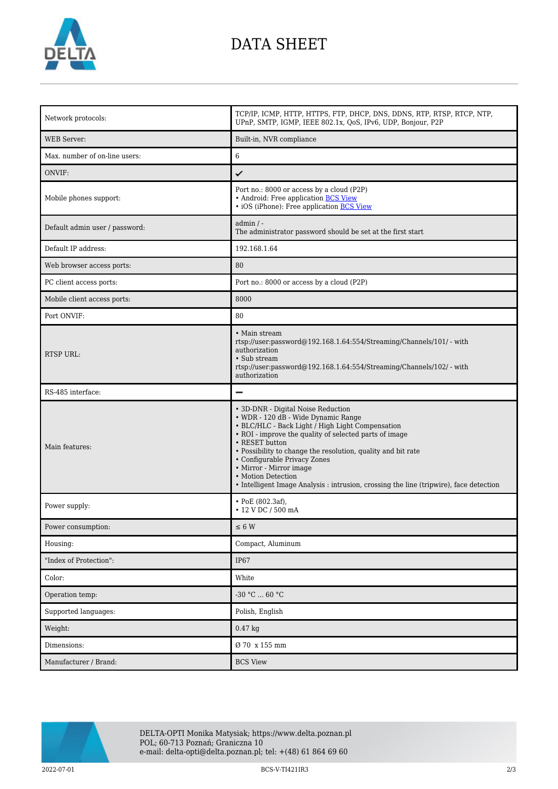

## DATA SHEET

| Network protocols:             | TCP/IP, ICMP, HTTP, HTTPS, FTP, DHCP, DNS, DDNS, RTP, RTSP, RTCP, NTP,<br>UPnP, SMTP, IGMP, IEEE 802.1x, QoS, IPv6, UDP, Bonjour, P2P                                                                                                                                                                                                                                                                                                                |
|--------------------------------|------------------------------------------------------------------------------------------------------------------------------------------------------------------------------------------------------------------------------------------------------------------------------------------------------------------------------------------------------------------------------------------------------------------------------------------------------|
| <b>WEB</b> Server:             | Built-in, NVR compliance                                                                                                                                                                                                                                                                                                                                                                                                                             |
| Max. number of on-line users:  | $\overline{6}$                                                                                                                                                                                                                                                                                                                                                                                                                                       |
| ONVIF:                         | ✓                                                                                                                                                                                                                                                                                                                                                                                                                                                    |
| Mobile phones support:         | Port no.: 8000 or access by a cloud (P2P)<br>• Android: Free application BCS View<br>• iOS (iPhone): Free application BCS View                                                                                                                                                                                                                                                                                                                       |
| Default admin user / password: | $admin / -$<br>The administrator password should be set at the first start                                                                                                                                                                                                                                                                                                                                                                           |
| Default IP address:            | 192.168.1.64                                                                                                                                                                                                                                                                                                                                                                                                                                         |
| Web browser access ports:      | 80                                                                                                                                                                                                                                                                                                                                                                                                                                                   |
| PC client access ports:        | Port no.: 8000 or access by a cloud (P2P)                                                                                                                                                                                                                                                                                                                                                                                                            |
| Mobile client access ports:    | 8000                                                                                                                                                                                                                                                                                                                                                                                                                                                 |
| Port ONVIF:                    | 80                                                                                                                                                                                                                                                                                                                                                                                                                                                   |
| <b>RTSP URL:</b>               | • Main stream<br>rtsp://user.password@192.168.1.64:554/Streaming/Channels/101/ - with<br>authorization<br>• Sub stream<br>rtsp://user.password@192.168.1.64:554/Streaming/Channels/102/ - with<br>authorization                                                                                                                                                                                                                                      |
| RS-485 interface:              | -                                                                                                                                                                                                                                                                                                                                                                                                                                                    |
| Main features:                 | • 3D-DNR - Digital Noise Reduction<br>• WDR - 120 dB - Wide Dynamic Range<br>• BLC/HLC - Back Light / High Light Compensation<br>• ROI - improve the quality of selected parts of image<br>• RESET button<br>• Possibility to change the resolution, quality and bit rate<br>• Configurable Privacy Zones<br>• Mirror - Mirror image<br>• Motion Detection<br>• Intelligent Image Analysis : intrusion, crossing the line (tripwire), face detection |
| Power supply:                  | $\cdot$ PoE (802.3af),<br>$\cdot$ 12 V DC / 500 mA                                                                                                                                                                                                                                                                                                                                                                                                   |
| Power consumption:             | $\leq 6$ W                                                                                                                                                                                                                                                                                                                                                                                                                                           |
| Housing:                       | Compact, Aluminum                                                                                                                                                                                                                                                                                                                                                                                                                                    |
| "Index of Protection":         | <b>IP67</b>                                                                                                                                                                                                                                                                                                                                                                                                                                          |
| Color:                         | White                                                                                                                                                                                                                                                                                                                                                                                                                                                |
| Operation temp:                | -30 °C  60 °C                                                                                                                                                                                                                                                                                                                                                                                                                                        |
| Supported languages:           | Polish, English                                                                                                                                                                                                                                                                                                                                                                                                                                      |
| Weight:                        | $0.47$ kg                                                                                                                                                                                                                                                                                                                                                                                                                                            |
| Dimensions:                    | Ø 70 x 155 mm                                                                                                                                                                                                                                                                                                                                                                                                                                        |
| Manufacturer / Brand:          | <b>BCS View</b>                                                                                                                                                                                                                                                                                                                                                                                                                                      |